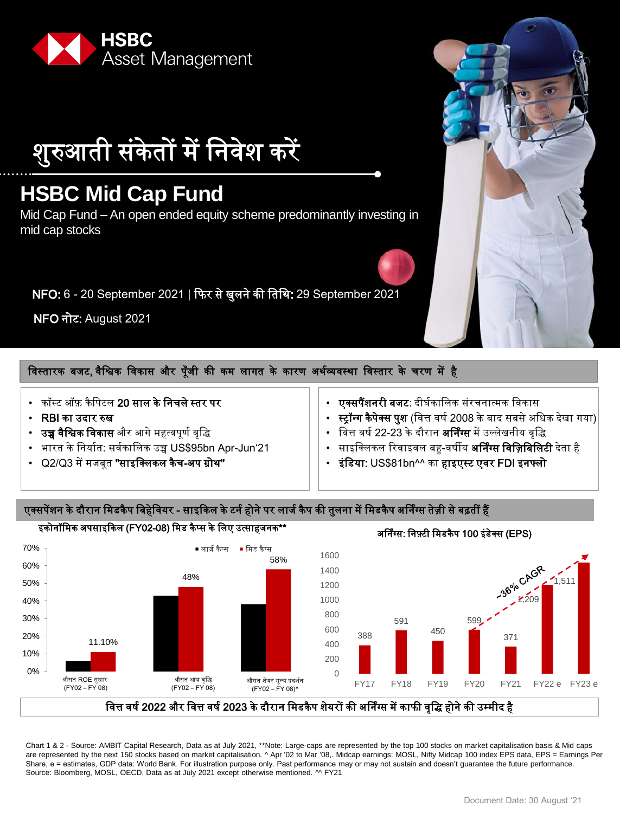

शुरुआती संकेतों में निवेश करें

# **HSBC Mid Cap Fund**

Mid Cap Fund – An open ended equity scheme predominantly investing in mid cap stocks

NFO: 6 - 20 September 2021 | फिर से खुलने की नतनथ: 29 September 2021

NFO नोट: August 2021

# विस्तारक बजट, वैश्विक विकास और पूँजी की कम लागत के कारण अर्थव्यवस्था विस्तार के चरण में है

- कॉस्ट ऑफ़ कै नपटल 20 साल के ननचले स्तर पर
- RBI का ईदार रुख
- **उच्च वैश्विक विकास** और आगे महत्वपूर्ण वृद्धि
- भारत के ननयाषत: सवषकानलक ईच्च US\$95bn Apr-Jun'21
- Q2/Q3 में मजबूत **"साइक्लिकल कैच-अप ग्रोथ"**
- **एक्सपैंशनरी बजट**: दीर्घकालिक संरचनात्मक विकास
- स्ट्रॉ**न्ग कैपेक्स पुश** (वित्त वर्ष 2008 के बाद सबसे अधिक देखा गया)
- वित्त वर्ष 22-23 के दौरान **अर्निंग्स** में उल्लेखनीय वृद्धि
- साइक्लिकल रिवाइवल बह-वर्षीय **अर्निंग्स विज़िबिलिटी** देता है
- इंडिया: US\$81bn^^ का हाइएस्ट एवर FDI इनफ्लो

# एक्सपेंशन के दौरान मिडकैप बिहेवियर - साइकिल के टर्न होने पर लार्ज कैप की तुलना में मिडकैप अर्निंग्स तेज़ी से बढ़तीं हैं



Chart 1 & 2 - Source: AMBIT Capital Research, Data as at July 2021, \*\*Note: Large-caps are represented by the top 100 stocks on market capitalisation basis & Mid caps are represented by the next 150 stocks based on market capitalisation. ^ Apr '02 to Mar '08,. Midcap earnings: MOSL, Nifty Midcap 100 index EPS data, EPS = Earnings Per Share, e = estimates, GDP data: World Bank. For illustration purpose only. Past performance may or may not sustain and doesn't quarantee the future performance. Source: Bloomberg, MOSL, OECD, Data as at July 2021 except otherwise mentioned. ^^ FY21

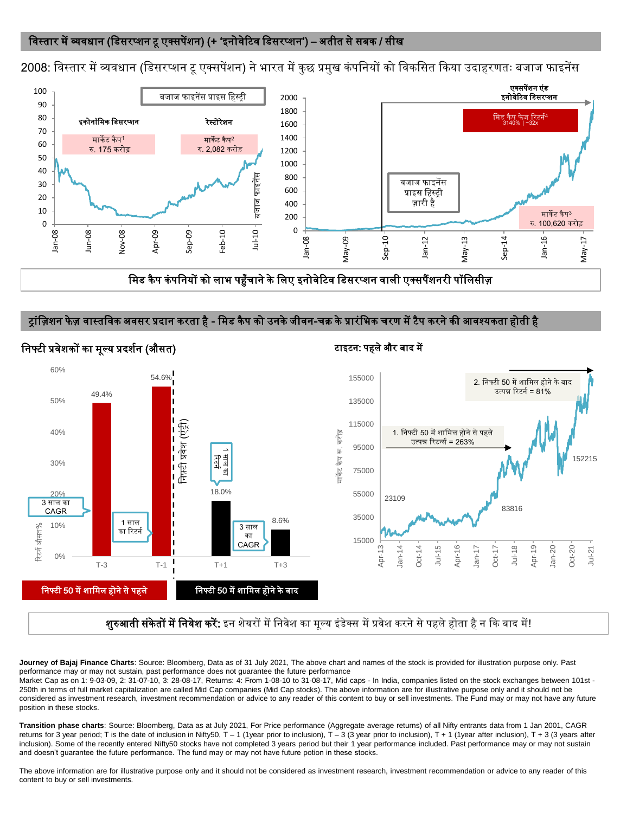# विस्तार में व्यवधान (डिसरप्शन टू एक्सपेंशन) (+ 'इनोवेटिव डिसरप्शन') – अतीत से सबक / सीख

2008: विस्तार में व्यवधान (डिसरप्शन टू एक्सपेंशन) ने भारत में कुछ प्रमुख कंपनियों को विकसित किया उदाहरणतः बजाज फाइनेंस



मिड कैप कंपनियों को लाभ पहुँचाने के लिए इनोवेटिव डिसरप्शन वाली एक्सपैंशनरी पॉलिसीज़

#### ट्रांज़िशन फेज़ वास्तविक अवसर प्रदान करता है - मिड कैप को उनके जीवन-चक्र के प्रारंभिक चरण में टैप करने की आवश्यकता होती है



#### निफ्टी प्रवेशकों का मूल्य प्रदर्शन (औसत) टाइटन: पहले और बाद में

शुरुआती संकेतों में निवेश करें: इन शेयरों में निवेश का मूल्य इंडेक्स में प्रवेश करने से पहले होता है न कि बाद में!

**Journey of Bajaj Finance Charts**: Source: Bloomberg, Data as of 31 July 2021, The above chart and names of the stock is provided for illustration purpose only. Past performance may or may not sustain, past performance does not guarantee the future performance

Market Cap as on 1: 9-03-09, 2: 31-07-10, 3: 28-08-17, Returns: 4: From 1-08-10 to 31-08-17, Mid caps - In India, companies listed on the stock exchanges between 101st - 250th in terms of full market capitalization are called Mid Cap companies (Mid Cap stocks). The above information are for illustrative purpose only and it should not be considered as investment research, investment recommendation or advice to any reader of this content to buy or sell investments. The Fund may or may not have any future position in these stocks.

**Transition phase charts**: Source: Bloomberg, Data as at July 2021, For Price performance (Aggregate average returns) of all Nifty entrants data from 1 Jan 2001, CAGR returns for 3 year period; T is the date of inclusion in Nifty50, T – 1 (1year prior to inclusion), T – 3 (3 year prior to inclusion), T + 1 (1year after inclusion), T + 3 (3 years after inclusion). Some of the recently entered Nifty50 stocks have not completed 3 years period but their 1 year performance included. Past performance may or may not sustain and doesn't guarantee the future performance. The fund may or may not have future potion in these stocks.

The above information are for illustrative purpose only and it should not be considered as investment research, investment recommendation or advice to any reader of this content to buy or sell investments.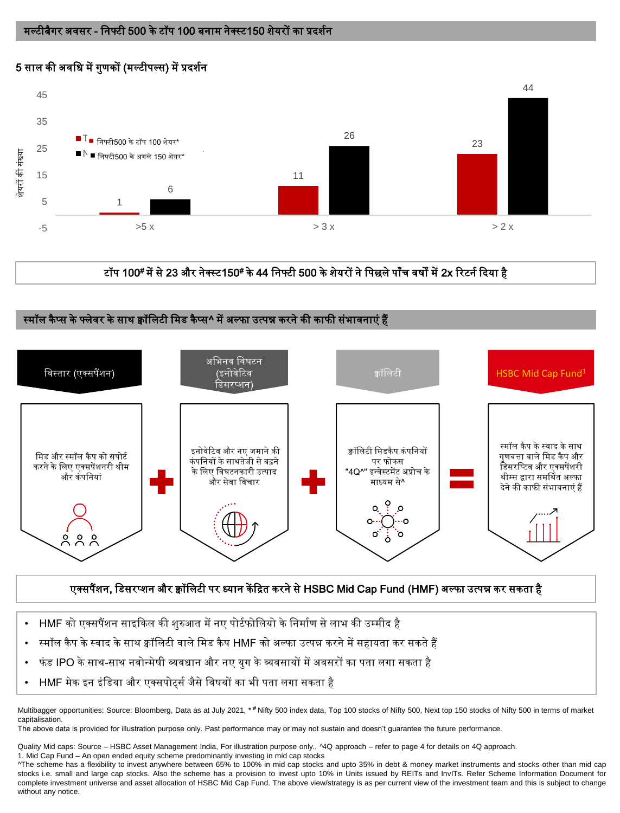# 5 साल की अवधि में गुणकों (मल्टीपल्स) में प्रदर्शन



टॉप 100# में से 23 और नेक्स्ट150# के 44 निफ्टी 500 के शेयरों ने पिछले पाँच वर्षों में 2x रिटर्न दिया है

#### स्मॉल कैप्स के फ्लेवर के साथ क्वॉलिटी मिड कैप्स^ में अल्फा उत्पन्न करने की काफी संभावनाएं हैं



# एक्सपैंशन, डिसरप्शन और क्वॉलिटी पर ध्यान केंद्रित करने से HSBC Mid Cap Fund (HMF) अल्फा उत्पन्न कर सकता है

- HMF को एक्सपैंशन साइकिल की शुरुआत में नए पोर्टफोलियो के निर्माण से लाभ की उम्मीद है
- स्मॉल कै प के स्वाद के साथ क्वॉनलटी वाले नमड कै प HMF को ऄल्िा ईत्पन्न करने में सहायता कर सकते हैं
- िं ड IPO के साथ-साथ नवोन्मेषी व्यवधान और नए युग के व्यवसायों में ऄवसरों का पता लगा सकता है
- HMF मेक इन इंडिया और एक्सपोर्ट्स जैसे विषयों का भी पता लगा सकता है

Multibagger opportunities: Source: Bloomberg, Data as at July 2021, \* **#** Nifty 500 index data, Top 100 stocks of Nifty 500, Next top 150 stocks of Nifty 500 in terms of market capitalisation.

The above data is provided for illustration purpose only. Past performance may or may not sustain and doesn't guarantee the future performance.

Quality Mid caps: Source – HSBC Asset Management India, For illustration purpose only., ^4Q approach – refer to page 4 for details on 4Q approach. 1. Mid Cap Fund – An open ended equity scheme predominantly investing in mid cap stocks

^The scheme has a flexibility to invest anywhere between 65% to 100% in mid cap stocks and upto 35% in debt & money market instruments and stocks other than mid cap stocks i.e. small and large cap stocks. Also the scheme has a provision to invest upto 10% in Units issued by REITs and InvITs. Refer Scheme Information Document for complete investment universe and asset allocation of HSBC Mid Cap Fund. The above view/strategy is as per current view of the investment team and this is subject to change without any notice.